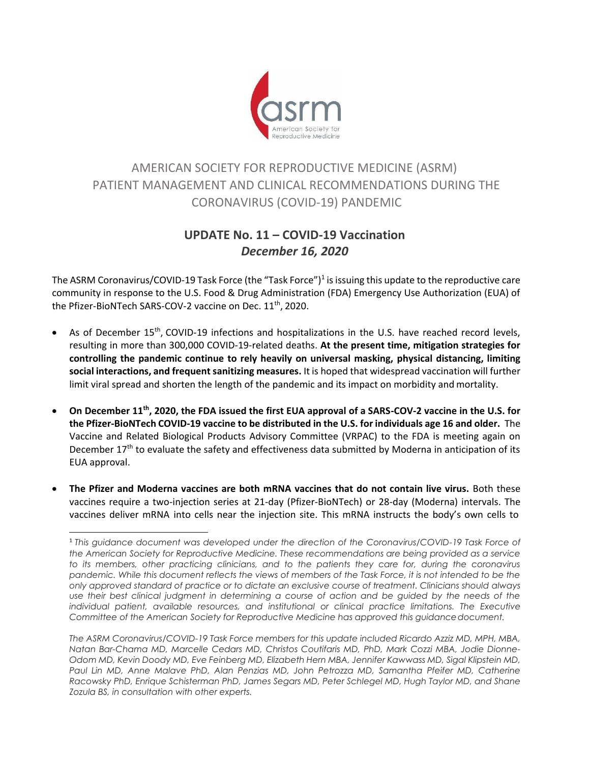

## AMERICAN SOCIETY FOR REPRODUCTIVE MEDICINE (ASRM) PATIENT MANAGEMENT AND CLINICAL RECOMMENDATIONS DURING THE CORONAVIRUS (COVID-19) PANDEMIC

## **UPDATE No. 11 – COVID-19 Vaccination**  *December 16, 2020*

The ASRM Coronavirus/COVID-19 Task Force (the "Task Force") $^1$  is issuing this update to the reproductive care community in response to the U.S. Food & Drug Administration (FDA) Emergency Use Authorization (EUA) of the Pfizer-BioNTech SARS-COV-2 vaccine on Dec. 11<sup>th</sup>, 2020.

- As of December 15<sup>th</sup>, COVID-19 infections and hospitalizations in the U.S. have reached record levels, resulting in more than 300,000 COVID-19-related deaths. **At the present time, mitigation strategies for controlling the pandemic continue to rely heavily on universal masking, physical distancing, limiting social interactions, and frequent sanitizing measures.** It is hoped that widespread vaccination will further limit viral spread and shorten the length of the pandemic and its impact on morbidity and mortality.
- **On December 11th, 2020, the FDA issued the first EUA approval of a SARS-COV-2 vaccine in the U.S. for the Pfizer-BioNTech COVID-19 vaccine to be distributed in the U.S. for individuals age 16 and older.** The Vaccine and Related Biological Products Advisory Committee (VRPAC) to the FDA is meeting again on December  $17<sup>th</sup>$  to evaluate the safety and effectiveness data submitted by Moderna in anticipation of its EUA approval.
- **The Pfizer and Moderna vaccines are both mRNA vaccines that do not contain live virus.** Both these vaccines require a two-injection series at 21-day (Pfizer-BioNTech) or 28-day (Moderna) intervals. The vaccines deliver mRNA into cells near the injection site. This mRNA instructs the body's own cells to

<sup>1</sup> *This guidance document was developed under the direction of the Coronavirus/COVID-19 Task Force of the American Society for Reproductive Medicine. These recommendations are being provided as a service to its members, other practicing clinicians, and to the patients they care for, during the coronavirus*  pandemic. While this document reflects the views of members of the Task Force, it is not intended to be the *only approved standard of practice or to dictate an exclusive course of treatment. Clinicians should always*  use their best clinical judgment in determining a course of action and be guided by the needs of the *individual patient, available resources, and institutional or clinical practice limitations. The Executive Committee of the American Society for Reproductive Medicine has approved this guidancedocument.*

*The ASRM Coronavirus/COVID-19 Task Force members for this update included Ricardo Azziz MD, MPH, MBA, Natan Bar-Chama MD, Marcelle Cedars MD, Christos Coutifaris MD, PhD, Mark Cozzi MBA, Jodie Dionne-Odom MD, Kevin Doody MD, Eve Feinberg MD, Elizabeth Hern MBA, Jennifer Kawwass MD, Sigal Klipstein MD,*  Paul Lin MD, Anne Malave PhD, Alan Penzias MD, John Petrozza MD, Samantha Pfeifer MD, Catherine *Racowsky PhD, Enrique Schisterman PhD, James Segars MD, Peter Schlegel MD, Hugh Taylor MD, and Shane Zozula BS, in consultation with other experts.*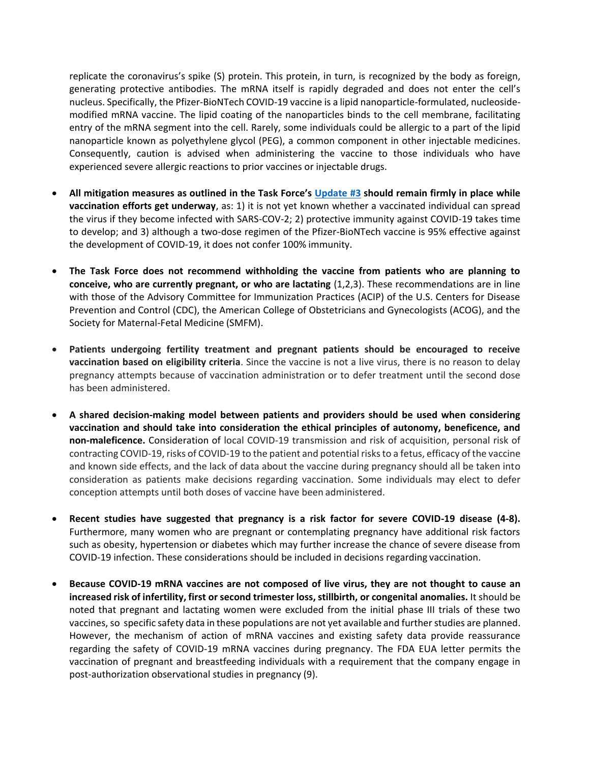replicate the coronavirus's spike (S) protein. This protein, in turn, is recognized by the body as foreign, generating protective antibodies. The mRNA itself is rapidly degraded and does not enter the cell's nucleus. Specifically, the Pfizer-BioNTech COVID-19 vaccine is a lipid nanoparticle-formulated, nucleosidemodified mRNA vaccine. The lipid coating of the nanoparticles binds to the cell membrane, facilitating entry of the mRNA segment into the cell. Rarely, some individuals could be allergic to a part of the lipid nanoparticle known as polyethylene glycol (PEG), a common component in other injectable medicines. Consequently, caution is advised when administering the vaccine to those individuals who have experienced severe allergic reactions to prior vaccines or injectable drugs.

- **All mitigation measures as outlined in the Task Force's [Update #3](https://www.asrm.org/globalassets/asrm/asrm-content/news-and-publications/covid-19/covidtaskforceupdate3.pdf) should remain firmly in place while vaccination efforts get underway**, as: 1) it is not yet known whether a vaccinated individual can spread the virus if they become infected with SARS-COV-2; 2) protective immunity against COVID-19 takes time to develop; and 3) although a two-dose regimen of the Pfizer-BioNTech vaccine is 95% effective against the development of COVID-19, it does not confer 100% immunity.
- **The Task Force does not recommend withholding the vaccine from patients who are planning to conceive, who are currently pregnant, or who are lactating** (1,2,3). These recommendations are in line with those of the Advisory Committee for Immunization Practices (ACIP) of the U.S. Centers for Disease Prevention and Control (CDC), the American College of Obstetricians and Gynecologists (ACOG), and the Society for Maternal-Fetal Medicine (SMFM).
- **Patients undergoing fertility treatment and pregnant patients should be encouraged to receive vaccination based on eligibility criteria**. Since the vaccine is not a live virus, there is no reason to delay pregnancy attempts because of vaccination administration or to defer treatment until the second dose has been administered.
- **A shared decision-making model between patients and providers should be used when considering vaccination and should take into consideration the ethical principles of autonomy, beneficence, and non-maleficence.** Consideration of local COVID-19 transmission and risk of acquisition, personal risk of contracting COVID-19, risks of COVID-19 to the patient and potential risksto a fetus, efficacy ofthe vaccine and known side effects, and the lack of data about the vaccine during pregnancy should all be taken into consideration as patients make decisions regarding vaccination. Some individuals may elect to defer conception attempts until both doses of vaccine have been administered.
- **Recent studies have suggested that pregnancy is a risk factor for severe COVID-19 disease (4-8).**  Furthermore, many women who are pregnant or contemplating pregnancy have additional risk factors such as obesity, hypertension or diabetes which may further increase the chance of severe disease from COVID-19 infection. These considerations should be included in decisions regarding vaccination.
- **Because COVID-19 mRNA vaccines are not composed of live virus, they are not thought to cause an increased risk of infertility, first or second trimester loss, stillbirth, or congenital anomalies.** It should be noted that pregnant and lactating women were excluded from the initial phase III trials of these two vaccines, so specific safety data in these populations are not yet available and further studies are planned. However, the mechanism of action of mRNA vaccines and existing safety data provide reassurance regarding the safety of COVID-19 mRNA vaccines during pregnancy. The FDA EUA letter permits the vaccination of pregnant and breastfeeding individuals with a requirement that the company engage in post-authorization observational studies in pregnancy (9).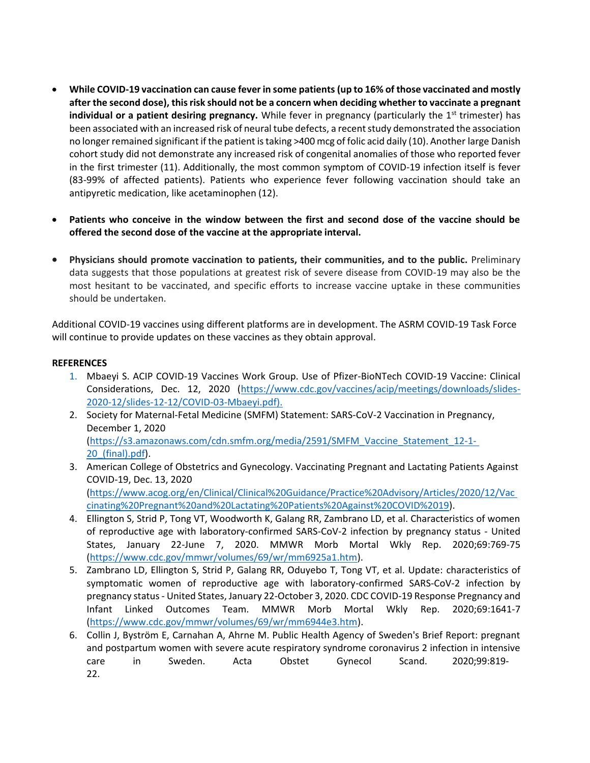- **While COVID-19 vaccination can cause fever in some patients (up to 16% of those vaccinated and mostly after the second dose), thisrisk should not be a concern when deciding whether to vaccinate a pregnant individual or a patient desiring pregnancy.** While fever in pregnancy (particularly the 1<sup>st</sup> trimester) has been associated with an increased risk of neural tube defects, [a recent study](https://www.sciencedirect.com/science/article/pii/S1047279717302624) demonstrated the association no longer remained significant if the patient istaking >400 mcg of folic acid daily (10). Another large Danish cohort stud[y did not demonstrate any increased risk of congenital anomalies o](https://www.ncbi.nlm.nih.gov/pmc/articles/PMC5723098/)f those who reported fever in the first trimester (11). Additionally, the most common symptom of COVID-19 infection itself is fever (83-99% of affected patients). Patients who experience fever following vaccination should take an antipyretic medication, like acetaminophen (12).
- **Patients who conceive in the window between the first and second dose of the vaccine should be offered the second dose of the vaccine at the appropriate interval.**
- **Physicians should promote vaccination to patients, their communities, and to the public.** Preliminary data suggests that those populations at greatest risk of severe disease from COVID-19 may also be the most hesitant to be vaccinated, and specific efforts to increase vaccine uptake in these communities should be undertaken.

Additional COVID-19 vaccines using different platforms are in development. The ASRM COVID-19 Task Force will continue to provide updates on these vaccines as they obtain approval.

## **REFERENCES**

- 1. Mbaeyi S. ACIP COVID-19 Vaccines Work Group. Use of Pfizer-BioNTech COVID-19 Vaccine: Clinical Considerations, Dec. 12, 2020 [\(https://www.cdc.gov/vaccines/acip/meetings/downloads/slides-](https://www.cdc.gov/vaccines/acip/meetings/downloads/slides-2020-12/slides-12-12/COVID-03-Mbaeyi.pdf)[2020-12/slides-12-12/COVID-03-Mbaeyi.pdf\)](https://www.cdc.gov/vaccines/acip/meetings/downloads/slides-2020-12/slides-12-12/COVID-03-Mbaeyi.pdf).
- 2. Society for Maternal-Fetal Medicine (SMFM) Statement: SARS-CoV-2 Vaccination in Pregnancy, December 1, 2020 [\(https://s3.amazonaws.com/cdn.smfm.org/media/2591/SMFM\\_Vaccine\\_Statement\\_12-1-](https://s3.amazonaws.com/cdn.smfm.org/media/2591/SMFM_Vaccine_Statement_12-1-20_(final).pdf) [20\\_\(final\).pdf\)](https://s3.amazonaws.com/cdn.smfm.org/media/2591/SMFM_Vaccine_Statement_12-1-20_(final).pdf).
- 3. American College of Obstetrics and Gynecology. Vaccinating Pregnant and Lactating Patients Against COVID-19, Dec. 13, 2020 [\(https://www.acog.org/en/Clinical/Clinical%20Guidance/Practice%20Advisory/Articles/2020/12/Vac](https://www.acog.org/en/Clinical/Clinical%20Guidance/Practice%20Advisory/Articles/2020/12/Vaccinating%20Pregnant%20and%20Lactating%20Patients%20Against%20COVID%2019) [cinating%20Pregnant%20and%20Lactating%20Patients%20Against%20COVID%2019\)](https://www.acog.org/en/Clinical/Clinical%20Guidance/Practice%20Advisory/Articles/2020/12/Vaccinating%20Pregnant%20and%20Lactating%20Patients%20Against%20COVID%2019).
- 4. Ellington S, Strid P, Tong VT, Woodworth K, Galang RR, Zambrano LD, et al. Characteristics of women of reproductive age with laboratory-confirmed SARS-CoV-2 infection by pregnancy status - United States, January 22-June 7, 2020. MMWR Morb Mortal Wkly Rep. 2020;69:769-75 [\(https://www.cdc.gov/mmwr/volumes/69/wr/mm6925a1.htm\)](https://www.cdc.gov/mmwr/volumes/69/wr/mm6925a1.htm).
- 5. Zambrano LD, Ellington S, Strid P, Galang RR, Oduyebo T, Tong VT, et al. Update: characteristics of symptomatic women of reproductive age with laboratory-confirmed SARS-CoV-2 infection by pregnancy status - United States, January 22-October 3, 2020. CDC COVID-19 Response Pregnancy and Infant Linked Outcomes Team. MMWR Morb Mortal Wkly Rep. 2020;69:1641-7 [\(https://www.cdc.gov/mmwr/volumes/69/wr/mm6944e3.htm\)](https://www.cdc.gov/mmwr/volumes/69/wr/mm6944e3.htm).
- 6. Collin J, Byström E, Carnahan A, Ahrne M. Public Health Agency of Sweden's Brief Report: pregnant and postpartum women with severe acute respiratory syndrome coronavirus 2 infection in intensive care in Sweden. Acta Obstet Gynecol Scand. 2020;99:819- 22.